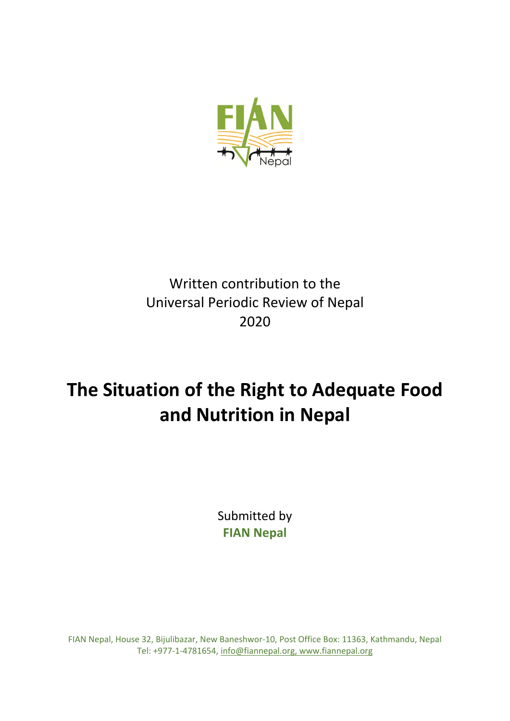

# Written contribution to the Universal Periodic Review of Nepal 2020

# **The Situation of the Right to Adequate Food and Nutrition in Nepal**

Submitted by **FIAN Nepal**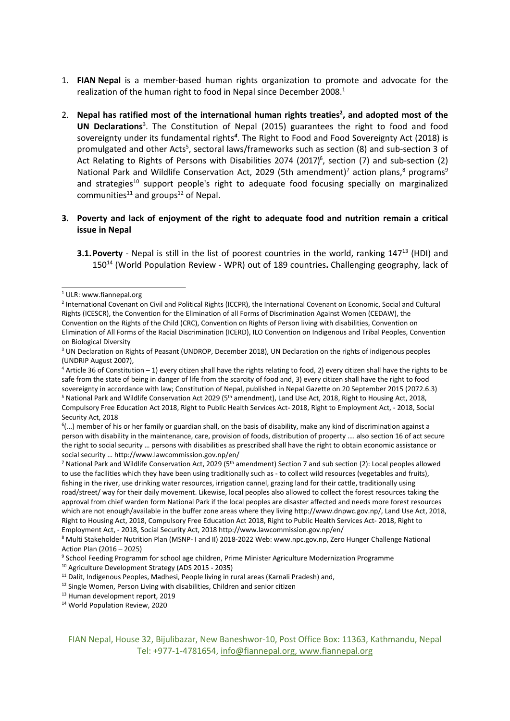- 1. **FIAN [Nepal](https://fiannepal.org/?lang=en)** is <sup>a</sup> member-based human rights organization to promote and advocate for the realization of the human right to food in Nepal since December 2008.<sup>1</sup>
- 2. **Nepal has ratified most of the international human rights treaties 2 , and adopted most of the UN Declarations** 3 . The Constitution of Nepal (2015) guarantees the right to food and food sovereignty under its fundamental rights<sup>4</sup>. The Right to Food and Food Sovereignty Act (2018) is promulgated and other Acts<sup>5</sup>, sectoral laws/frameworks such as section (8) and sub-section 3 of Act Relating to Rights of Persons with Disabilities 2074 (2017) 6 , section (7) and sub-section (2) National Park and Wildlife Conservation Act, 2029 (5th amendment)<sup>7</sup> action plans,<sup>8</sup> programs<sup>9</sup> and strategies<sup>10</sup> support people's right to adequate food focusing specially on marginalized communities<sup>11</sup> and groups<sup>12</sup> of Nepal.

# **3. Poverty and lack of enjoyment of the right to adequate food and nutrition remain <sup>a</sup> critical issue in Nepal**

**3.1. Poverty** - Nepal is still in the list of poorest countries in the world, ranking 147<sup>13</sup> (HDI) and 150<sup>14</sup> (World Population Review - WPR) out of 189 countries**.** Challenging geography, lack of

<sup>7</sup> National Park and Wildlife Conservation Act, 2029 (5<sup>th</sup> amendment) Section 7 and sub section (2): Local peoples allowed to use the facilities which they have been using traditionally such as - to collect wild resources (vegetables and fruits), fishing in the river, use drinking water resources, irrigation cannel, grazing land for their cattle, traditionally using road/street/ way for their daily movement. Likewise, local peoples also allowed to collect the forest resources taking the approval from chief warden form National Park if the local peoples are disaster affected and needs more forest resources which are not enough/available in the buffer zone areas where they living <http://www.dnpwc.gov.np/>, Land Use Act, 2018, Right to Housing Act, 2018, Compulsory Free Education Act 2018, Right to Public Health Services Act- 2018, Right to Employment Act, - 2018, Social Security Act, 2018 <http://www.lawcommission.gov.np/en/>

<sup>8</sup> Multi Stakeholder Nutrition Plan (MSNP- <sup>I</sup> and II) 2018-2022 Web: [www.npc.gov.np,](http://www.npc.gov.np) Zero Hunger Challenge National Action Plan (2016 – 2025)

<sup>&</sup>lt;sup>1</sup> ULR: www.fiannepal.org

<sup>&</sup>lt;sup>2</sup> International Covenant on Civil and Political Rights (ICCPR), the International Covenant on Economic, Social and Cultural Rights (ICESCR), the Convention for the Elimination of all Forms of Discrimination Against Women (CEDAW), the Convention on the Rights of the Child (CRC), Convention on Rights of Person living with disabilities, Convention on Elimination of All Forms of the Racial Discrimination (ICERD), ILO Convention on Indigenous and Tribal Peoples, Convention on Biological Diversity

<sup>&</sup>lt;sup>3</sup> UN Declaration on Rights of Peasant (UNDROP, December 2018), UN Declaration on the rights of indigenous peoples (UNDRIP August 2007),

<sup>4</sup> Article 36 of Constitution – 1) every citizen shall have the rights relating to food, 2) every citizen shall have the rights to be safe from the state of being in danger of life from the scarcity of food and, 3) every citizen shall have the right to food sovereignty in accordance with law; Constitution of Nepal, published in Nepal Gazette on 20 September 2015 (2072.6.3) <sup>5</sup> National Park and Wildlife Conservation Act 2029 (5<sup>th</sup> amendment), Land Use Act, 2018, Right to Housing Act, 2018, Compulsory Free Education Act 2018, Right to Public Health Services Act- 2018, Right to Employment Act, - 2018, Social Security Act, 2018

<sup>6</sup> (...) member of his or her family or guardian shall, on the basis of disability, make any kind of discrimination against <sup>a</sup> person with disability in the maintenance, care, provision of foods, distribution of property …. also section 16 of act secure the right to social security … persons with disabilities as prescribed shall have the right to obtain economic assistance or social security … <http://www.lawcommission.gov.np/en/>

<sup>9</sup> School Feeding Programm for school age children, Prime Minister Agriculture Modernization Programme

<sup>10</sup> Agriculture Development Strategy (ADS 2015 - 2035)

<sup>&</sup>lt;sup>11</sup> Dalit, Indigenous Peoples, Madhesi, People living in rural areas (Karnali Pradesh) and,

<sup>&</sup>lt;sup>12</sup> Single Women, Person Living with disabilities, Children and senior citizen

<sup>&</sup>lt;sup>13</sup> Human development report, 2019

<sup>14</sup> World Population Review, <sup>2020</sup>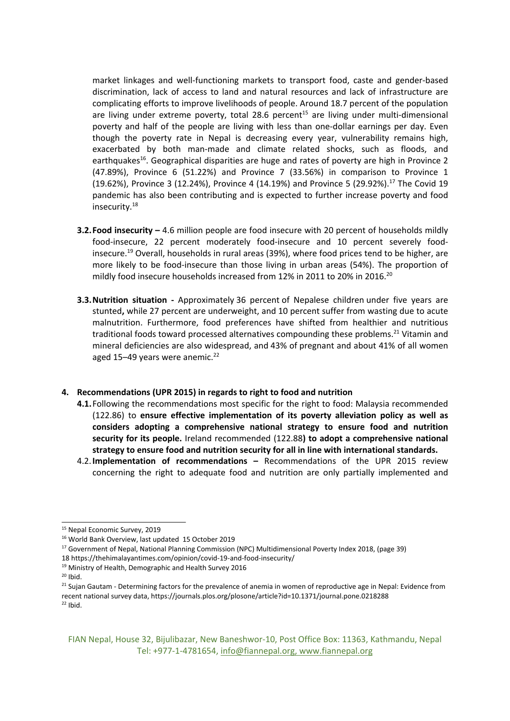market linkages and well-functioning markets to transport food, caste and gender-based discrimination, lack of access to land and natural resources and lack of infrastructure are complicating efforts to improve livelihoods of people. Around 18.7 percent of the population are living under extreme poverty, total 28.6 percent<sup>15</sup> are living under multi-dimensional poverty and half of the people are living with less than one-dollar earnings per day. Even though the poverty rate in Nepal is decreasing every year, vulnerability remains high, exacerbated by both man-made and climate related shocks, such as floods, and earthquakes<sup>16</sup>. Geographical disparities are huge and rates of poverty are high in Province 2 (47.89%), Province 6 (51.22%) and Province 7 (33.56%) in comparison to Province 1 (19.62%), Province 3 (12.24%), Province 4 (14.19%) and Province 5 (29.92%). $^{17}$  The Covid 19 pandemic has also been contributing and is expected to further increase poverty and food insecurity.<sup>18</sup>

- **3.2.Food insecurity –** 4.6 million people are food insecure with 20 percent of households mildly food-insecure, 22 percent moderately food-insecure and 10 percent severely foodinsecure.<sup>19</sup> Overall, households in rural areas (39%), where food prices tend to be higher, are more likely to be food-insecure than those living in urban areas (54%). The proportion of mildly food insecure households increased from 12% in 2011 to 20% in 2016. $^{20}$
- **3.3.Nutrition situation -** Approximately 36 percent of Nepalese children under five years are stunted**,** while 27 percent are underweight, and 10 percent suffer from wasting due to acute malnutrition. Furthermore, food preferences have shifted from healthier and nutritious traditional foods toward processed alternatives compounding these problems.<sup>21</sup> Vitamin and mineral deficiencies are also widespread, and 43% of pregnant and about 41% of all women aged 15–49 years were anemic.<sup>22</sup>

## **4. Recommendations (UPR 2015) in regards to right to food and nutrition**

- **4.1.**Following the recommendations most specific for the right to food: Malaysia recommended (122.86) to **ensure effective implementation of its poverty alleviation policy as well as considers adopting <sup>a</sup> comprehensive national strategy to ensure food and nutrition security for its people.** Ireland recommended (122.88**) to adopt <sup>a</sup> comprehensive national strategy to ensure food and nutrition security for all in line with international standards.**
- 4.2.**Implementation of recommendations –** Recommendations of the UPR 2015 review concerning the right to adequate food and nutrition are only partially implemented and

 $20$  Ibid.

<sup>&</sup>lt;sup>15</sup> Nepal Economic Survey, 2019

<sup>16</sup> World Bank Overview, last updated <sup>15</sup> October <sup>2019</sup>

<sup>&</sup>lt;sup>17</sup> Government of Nepal, National Planning Commission (NPC) Multidimensional Poverty Index 2018, (page 39)

<sup>18</sup> <https://thehimalayantimes.com/opinion/covid-19-and-food-insecurity/>

<sup>19</sup> Ministry of Health, Demographic and Health Survey <sup>2016</sup>

<sup>&</sup>lt;sup>21</sup> Sujan Gautam - Determining factors for the prevalence of anemia in women of reproductive age in Nepal: Evidence from recent national survey data, https://journals.plos.org/plosone/article?id=10.1371/journal.pone.0218288  $22$  Ibid.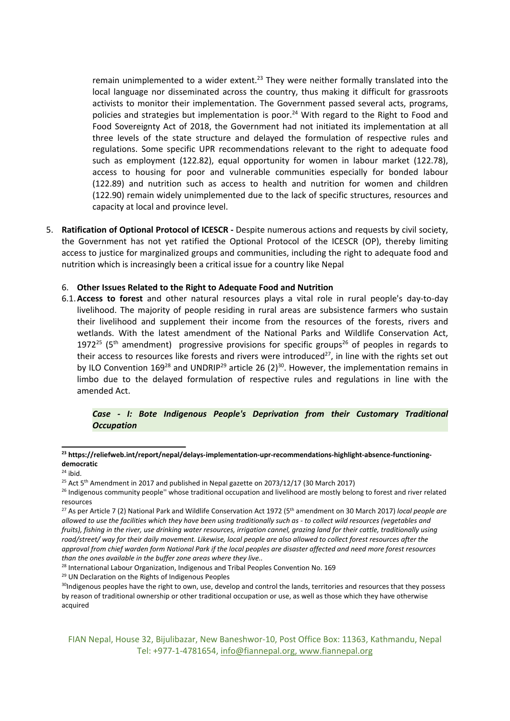remain unimplemented to a wider extent.<sup>23</sup> They were neither formally translated into the local language nor disseminated across the country, thus making it difficult for grassroots activists to monitor their implementation. The Government passed several acts, programs, policies and strategies but implementation is poor.<sup>24</sup> With regard to the Right to Food and Food Sovereignty Act of 2018, the Government had not initiated its implementation at all three levels of the state structure and delayed the formulation of respective rules and regulations. Some specific UPR recommendations relevant to the right to adequate food such as employment (122.82), equal opportunity for women in labour market (122.78), access to housing for poor and vulnerable communities especially for bonded labour (122.89) and nutrition such as access to health and nutrition for women and children (122.90) remain widely unimplemented due to the lack of specific structures, resources and capacity at local and province level.

5. **Ratification of Optional Protocol of ICESCR -** Despite numerous actions and requests by civil society, the Government has not yet ratified the Optional Protocol of the ICESCR (OP), thereby limiting access to justice for marginalized groups and communities, including the right to adequate food and nutrition which is increasingly been <sup>a</sup> critical issue for <sup>a</sup> country like Nepal

#### 6. **Other Issues Related to the Right to Adequate Food and Nutrition**

6.1.**Access to forest** and other natural resources plays <sup>a</sup> vital role in rural people's day-to-day livelihood. The majority of people residing in rural areas are subsistence farmers who sustain their livelihood and supplement their income from the resources of the forests, rivers and wetlands. With the latest amendment of the National Parks and Wildlife Conservation Act, 1972<sup>25</sup> (5<sup>th</sup> amendment) progressive provisions for specific groups<sup>26</sup> of peoples in regards to their access to resources like forests and rivers were introduced<sup>27</sup>, in line with the rights set out by ILO Convention 169<sup>28</sup> and UNDRIP<sup>29</sup> article 26 (2)<sup>30</sup>. However, the implementation remains in limbo due to the delayed formulation of respective rules and regulations in line with the amended Act.

#### *Case - I: Bote Indigenous People's Deprivation from their Customary Traditional Occupation*

**<sup>23</sup> [https://reliefweb.int/report/nepal/delays-implementation-upr-recommendations-highlight-absence-functioning](https://reliefweb.int/report/nepal/delays-implementation-upr-recommendations-highlight-absence-functioning-democratic)[democratic](https://reliefweb.int/report/nepal/delays-implementation-upr-recommendations-highlight-absence-functioning-democratic)**

<sup>24</sup> ibid.

<sup>&</sup>lt;sup>25</sup> Act 5<sup>th</sup> Amendment in 2017 and published in Nepal gazette on 2073/12/17 (30 March 2017)

<sup>&</sup>lt;sup>26</sup> Indigenous community people" whose traditional occupation and livelihood are mostly belong to forest and river related resources

<sup>27</sup> As per Article <sup>7</sup> (2) National Park and Wildlife Conservation Act <sup>1972</sup> (5th amendment on 30 March 2017) *local people are* allowed to use the facilities which they have been using traditionally such as - to collect wild resources (vegetables and fruits), fishing in the river, use drinking water resources, irrigation cannel, grazing land for their cattle, traditionally using road/street/ way for their daily movement. Likewise, local people are also allowed to collect forest resources after the approval from chief warden form National Park if the local peoples are disaster affected and need more forest resources *than the ones available in the buffer zone areas where they live..*

<sup>&</sup>lt;sup>28</sup> International Labour Organization, Indigenous and Tribal Peoples Convention No. 169

<sup>&</sup>lt;sup>29</sup> UN Declaration on the Rights of Indigenous Peoples

<sup>&</sup>lt;sup>30</sup>Indigenous peoples have the right to own, use, develop and control the lands, territories and resources that they possess by reason of traditional ownership or other traditional occupation or use, as well as those which they have otherwise acquired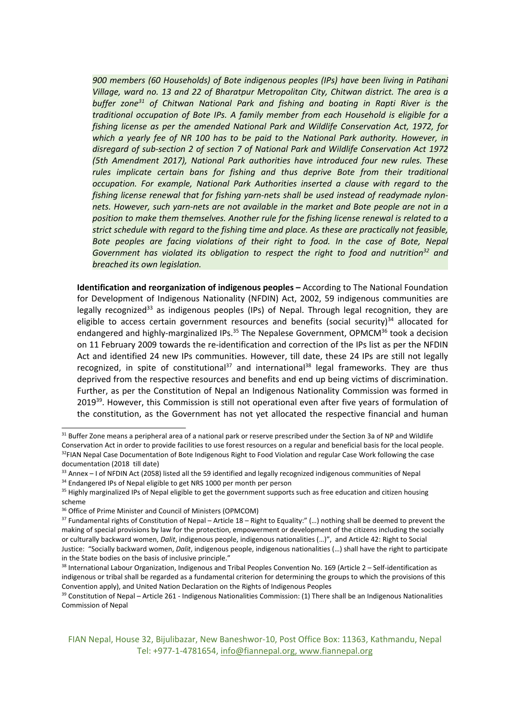*900 members (60 Households) of Bote indigenous peoples (IPs) have been living in Patihani Village, ward no. 13 and 22 of Bharatpur Metropolitan City, Chitwan district. The area is <sup>a</sup> buffer zone 31 of Chitwan National Park and fishing and boating in Rapti River is the traditional occupation of Bote IPs. A family member from each Household is eligible for <sup>a</sup> fishing license as per the amended National Park and Wildlife Conservation Act, 1972, for which <sup>a</sup> yearly fee of NR 100 has to be paid to the National Park authority. However, in disregard of sub-section 2 of section 7 of National Park and Wildlife Conservation Act 1972 (5th Amendment 2017), National Park authorities have introduced four new rules. These rules implicate certain bans for fishing and thus deprive Bote from their traditional occupation. For example, National Park Authorities inserted <sup>a</sup> clause with regard to the fishing license renewal that for fishing yarn-nets shall be used instead of readymade nylonnets. However, such yarn-nets are not available in the market and Bote people are not in <sup>a</sup> position to make them themselves. Another rule for the fishing license renewal is related to <sup>a</sup> strict schedule with regard to the fishing time and place. As these are practically not feasible, Bote peoples are facing violations of their right to food. In the case of Bote, Nepal Government has violated its obligation to respect the right to food and nutrition<sup>32</sup> and breached its own legislation.*

**Identification and reorganization of indigenous peoples –** According to The National Foundation for Development of Indigenous Nationality (NFDIN) Act, 2002, 59 indigenous communities are legally recognized<sup>33</sup> as indigenous peoples (IPs) of Nepal. Through legal recognition, they are eligible to access certain government resources and benefits (social security)<sup>34</sup> allocated for endangered and highly-marginalized IPs.<sup>35</sup> The Nepalese Government, OPMCM<sup>36</sup> took a decision on 11 February 2009 towards the re-identification and correction of the IPs list as per the NFDIN Act and identified 24 new IPs communities. However, till date, these 24 IPs are still not legally recognized, in spite of constitutional<sup>37</sup> and international<sup>38</sup> legal frameworks. They are thus deprived from the respective resources and benefits and end up being victims of discrimination. Further, as per the Constitution of Nepal an Indigenous Nationality Commission was formed in 2019<sup>39</sup>. However, this Commission is still not operational even after five years of formulation of the constitution, as the Government has not yet allocated the respective financial and human

 $31$  Buffer Zone means a peripheral area of a national park or reserve prescribed under the Section 3a of NP and Wildlife Conservation Act in order to provide facilities to use forest resources on <sup>a</sup> regular and beneficial basis for the local people. <sup>32</sup>FIAN Nepal Case Documentation of Bote Indigenous Right to Food Violation and regular Case Work following the case documentation (2018 till date)

 $33$  Annex – I of NFDIN Act (2058) listed all the 59 identified and legally recognized indigenous communities of Nepa

<sup>&</sup>lt;sup>34</sup> Endangered IPs of Nepal eligible to get NRS 1000 per month per person

<sup>&</sup>lt;sup>35</sup> Highly marginalized IPs of Nepal eligible to get the government supports such as free education and citizen housing scheme

<sup>&</sup>lt;sup>36</sup> Office of Prime Minister and Council of Ministers (OPMCOM)

<sup>&</sup>lt;sup>37</sup> Fundamental rights of Constitution of Nepal – Article 18 – Right to Equality:" (...) nothing shall be deemed to prevent the making of special provisions by law for the protection, empowerment or development of the citizens including the socially or culturally backward women, *Dalit*, indigenous people, indigenous nationalities (…)", and Article 42: Right to Social Justice: "Socially backward women, *Dalit*, indigenous people, indigenous nationalities (…) shall have the right to participate in the State bodies on the basis of inclusive principle."

<sup>38</sup> International Labour Organization, Indigenous and Tribal Peoples Convention No. 169 (Article 2 – Self-identification as indigenous or tribal shall be regarded as <sup>a</sup> fundamental criterion for determining the groups to which the provisions of this Convention apply), and United Nation Declaration on the Rights of Indigenous Peoples

<sup>&</sup>lt;sup>39</sup> Constitution of Nepal – Article 261 - Indigenous Nationalities Commission: (1) There shall be an Indigenous Nationalities Commission of Nepal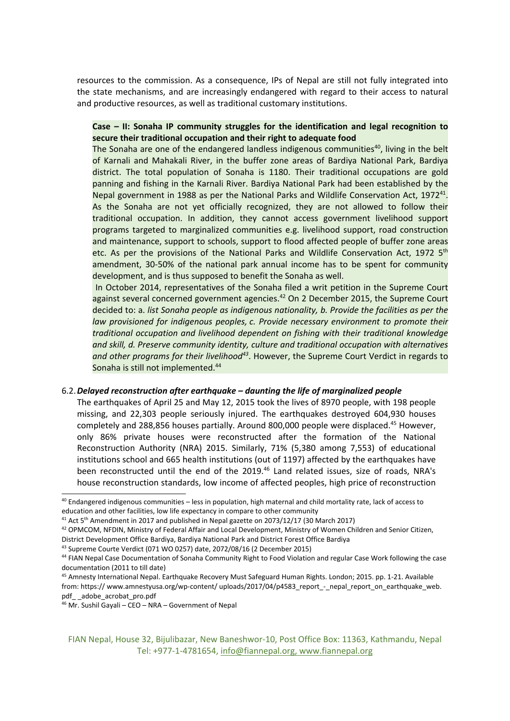resources to the commission. As <sup>a</sup> consequence, IPs of Nepal are still not fully integrated into the state mechanisms, and are increasingly endangered with regard to their access to natural and productive resources, as well as traditional customary institutions.

# **Case – II: Sonaha IP community struggles for the identification and legal recognition to secure their traditional occupation and their right to adequate food**

The Sonaha are one of the endangered landless indigenous communities<sup>40</sup>, living in the belt of Karnali and Mahakali River, in the buffer zone areas of Bardiya National Park, Bardiya district. The total population of Sonaha is 1180. Their traditional occupations are gold panning and fishing in the Karnali River. Bardiya National Park had been established by the Nepal government in 1988 as per the National Parks and Wildlife Conservation Act, 1972 $^{41}$ . As the Sonaha are not yet officially recognized, they are not allowed to follow their traditional occupation. In addition, they cannot access government livelihood support programs targeted to marginalized communities e.g. livelihood support, road construction and maintenance, support to schools, support to flood affected people of buffer zone areas etc. As per the provisions of the National Parks and Wildlife Conservation Act, 1972 5<sup>th</sup> amendment, 30-50% of the national park annual income has to be spent for community development, and is thus supposed to benefit the Sonaha as well.

In October 2014, representatives of the Sonaha filed <sup>a</sup> writ petition in the Supreme Court against several concerned government agencies.<sup>42</sup> On 2 December 2015, the Supreme Court decided to: a. *list Sonaha people as indigenous nationality, b. Provide the facilities as per the law provisioned for indigenous peoples, c. Provide necessary environment to promote their traditional occupation and livelihood dependent on fishing with their traditional knowledge and skill, d. Preserve community identity, culture and traditional occupation with alternatives and other programs for their livelihood<sup>43</sup>* . However, the Supreme Court Verdict in regards to Sonaha is still not implemented.<sup>44</sup>

## 6.2.*Delayed reconstruction after earthquake – daunting the life of marginalized people*

The earthquakes of April 25 and May 12, 2015 took the lives of 8970 people, with 198 people missing, and 22,303 people seriously injured. The earthquakes destroyed 604,930 houses completely and 288,856 houses partially. Around 800,000 people were displaced.<sup>45</sup> However, only 86% private houses were reconstructed after the formation of the National Reconstruction Authority (NRA) 2015. Similarly, 71% (5,380 among 7,553) of educational institutions school and 665 health institutions (out of 1197) affected by the earthquakes have been reconstructed until the end of the 2019.<sup>46</sup> Land related issues, size of roads, NRA's house reconstruction standards, low income of affected peoples, high price of reconstruction

<sup>&</sup>lt;sup>40</sup> Endangered indigenous communities – less in population, high maternal and child mortality rate, lack of access to education and other facilities, low life expectancy in compare to other community

<sup>&</sup>lt;sup>41</sup> Act 5<sup>th</sup> Amendment in 2017 and published in Nepal gazette on 2073/12/17 (30 March 2017)

 $^{42}$  OPMCOM, NFDIN, Ministry of Federal Affair and Local Development, Ministry of Women Children and Senior Citizen,

District Development Office Bardiya, Bardiya National Park and District Forest Office Bardiya

<sup>&</sup>lt;sup>43</sup> Supreme Courte Verdict (071 WO 0257) date, 2072/08/16 (2 December 2015)

<sup>&</sup>lt;sup>44</sup> FIAN Nepal Case Documentation of Sonaha Community Right to Food Violation and regular Case Work following the case documentation (2011 to till date)

<sup>&</sup>lt;sup>45</sup> Amnesty International Nepal. Earthquake Recovery Must Safeguard Human Rights. London; 2015. pp. 1-21. Available from: https:// [www.amnestyusa.org/wp-content/](http://www.amnestyusa.org/wp-content/) uploads/2017/04/p4583\_report\_-\_nepal\_report\_on\_earthquake\_web. pdf\_ \_adobe\_acrobat\_pro.pdf

<sup>46</sup> Mr. Sushil Gayali – CEO – NRA – Government of Nepal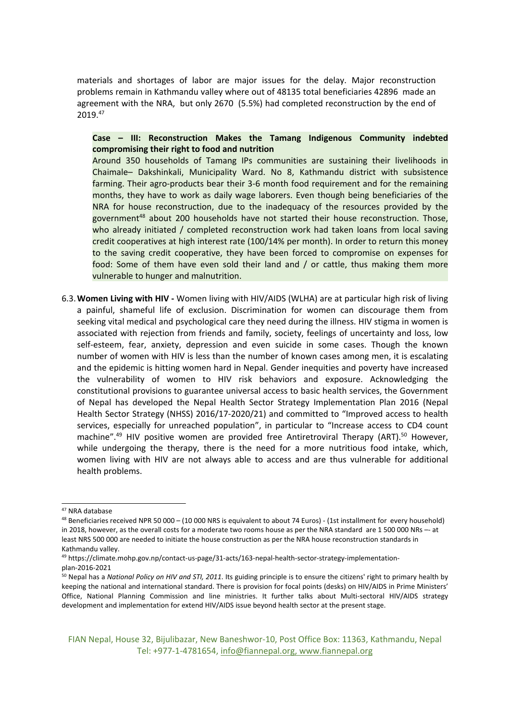materials and shortages of labor are major issues for the delay. Major reconstruction problems remain in Kathmandu valley where out of 48135 total beneficiaries 42896 made an agreement with the NRA, but only 2670 (5.5%) had completed reconstruction by the end of 2019. 47

**Case – III: Reconstruction Makes the Tamang Indigenous Community indebted compromising their right to food and nutrition**

Around 350 households of Tamang IPs communities are sustaining their livelihoods in Chaimale– Dakshinkali, Municipality Ward. No 8, Kathmandu district with subsistence farming. Their agro-products bear their 3-6 month food requirement and for the remaining months, they have to work as daily wage laborers. Even though being beneficiaries of the NRA for house reconstruction, due to the inadequacy of the resources provided by the government<sup>48</sup> about 200 households have not started their house reconstruction. Those, who already initiated / completed reconstruction work had taken loans from local saving credit cooperatives at high interest rate (100/14% per month). In order to return this money to the saving credit cooperative, they have been forced to compromise on expenses for food: Some of them have even sold their land and / or cattle, thus making them more vulnerable to hunger and malnutrition.

6.3.**Women Living with HIV -** Women living with HIV/AIDS (WLHA) are at particular high risk of living <sup>a</sup> painful, shameful life of exclusion. Discrimination for women can discourage them from seeking vital medical and psychological care they need during the illness. HIV stigma in women is associated with rejection from friends and family, society, feelings of uncertainty and loss, low self-esteem, fear, anxiety, depression and even suicide in some cases. Though the known number of women with HIV is less than the number of known cases among men, it is escalating and the epidemic is hitting women hard in Nepal. Gender inequities and poverty have increased the vulnerability of women to HIV risk behaviors and exposure. Acknowledging the constitutional provisions to guarantee universal access to basic health services, the Government of Nepal has developed the Nepal Health Sector Strategy Implementation Plan 2016 (Nepal Health Sector Strategy (NHSS) 2016/17-2020/21) and committed to "Improved access to health services, especially for unreached population", in particular to "Increase access to CD4 count machine".<sup>49</sup> HIV positive women are provided free Antiretroviral Therapy (ART).<sup>50</sup> However, while undergoing the therapy, there is the need for <sup>a</sup> more nutritious food intake, which, women living with HIV are not always able to access and are thus vulnerable for additional health problems.

<sup>47</sup> NRA database

<sup>&</sup>lt;sup>48</sup> Beneficiaries received NPR 50 000 – (10 000 NRS is equivalent to about 74 Euros) - (1st installment for every household) in 2018, however, as the overall costs for <sup>a</sup> moderate two rooms house as per the NRA standard are 1 500 000 NRs –- at least NRS 500 000 are needed to initiate the house construction as per the NRA house reconstruction standards in Kathmandu valley.

<sup>49</sup> https://climate.mohp.gov.np/contact-us-page/31-acts/163-nepal-health-sector-strategy-implementationplan-2016-2021

<sup>50</sup> Nepal has <sup>a</sup> *National Policy on HIV and STI, 2011*. Its guiding principle is to ensure the citizens' right to primary health by keeping the national and international standard. There is provision for focal points (desks) on HIV/AIDS in Prime Ministers' Office, National Planning Commission and line ministries. It further talks about Multi-sectoral HIV/AIDS strategy development and implementation for extend HIV/AIDS issue beyond health sector at the present stage.